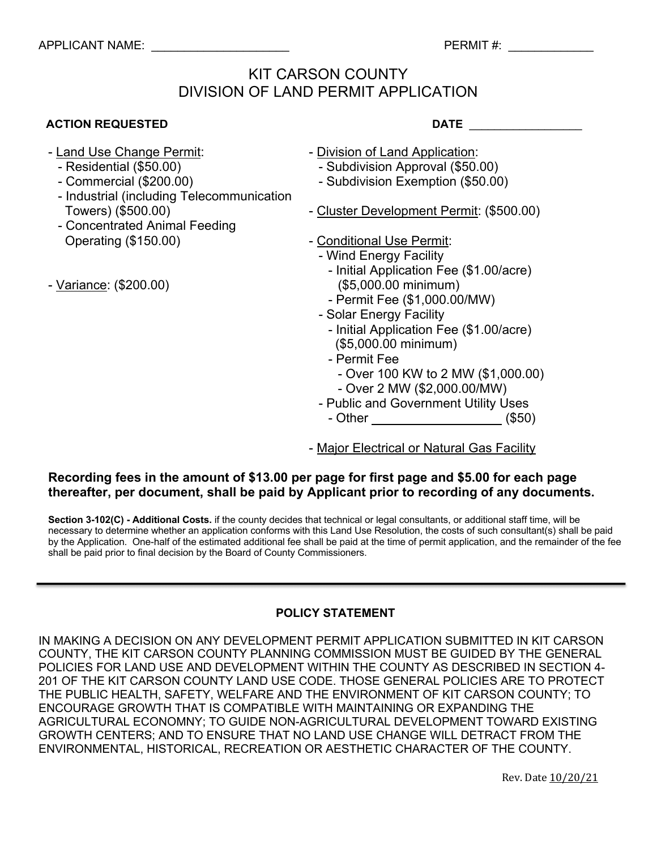## KIT CARSON COUNTY DIVISION OF LAND PERMIT APPLICATION

| <b>ACTION REQUESTED</b>                                                                         | <b>DATE</b>                                                                       |
|-------------------------------------------------------------------------------------------------|-----------------------------------------------------------------------------------|
| - Land Use Change Permit:                                                                       | - Division of Land Application:                                                   |
| - Residential (\$50.00)<br>- Commercial (\$200.00)<br>- Industrial (including Telecommunication | - Subdivision Approval (\$50.00)<br>- Subdivision Exemption (\$50.00)             |
| Towers) (\$500.00)<br>- Concentrated Animal Feeding                                             | - Cluster Development Permit: (\$500.00)                                          |
| Operating (\$150.00)                                                                            | - Conditional Use Permit:<br>- Wind Energy Facility                               |
| - Variance: (\$200.00)                                                                          | - Initial Application Fee (\$1.00/acre)<br>(\$5,000.00 minimum)                   |
|                                                                                                 | - Permit Fee (\$1,000.00/MW)<br>- Solar Energy Facility                           |
|                                                                                                 | - Initial Application Fee (\$1.00/acre)<br>(\$5,000.00 minimum)                   |
|                                                                                                 | - Permit Fee<br>- Over 100 KW to 2 MW (\$1,000.00)<br>- Over 2 MW (\$2,000.00/MW) |
|                                                                                                 | - Public and Government Utility Uses                                              |
|                                                                                                 | - Other <u>________________</u><br>(\$50)                                         |

- Major Electrical or Natural Gas Facility

## **Recording fees in the amount of \$13.00 per page for first page and \$5.00 for each page thereafter, per document, shall be paid by Applicant prior to recording of any documents.**

**Section 3-102(C) - Additional Costs.** if the county decides that technical or legal consultants, or additional staff time, will be necessary to determine whether an application conforms with this Land Use Resolution, the costs of such consultant(s) shall be paid by the Application. One-half of the estimated additional fee shall be paid at the time of permit application, and the remainder of the fee shall be paid prior to final decision by the Board of County Commissioners.

### **POLICY STATEMENT**

IN MAKING A DECISION ON ANY DEVELOPMENT PERMIT APPLICATION SUBMITTED IN KIT CARSON COUNTY, THE KIT CARSON COUNTY PLANNING COMMISSION MUST BE GUIDED BY THE GENERAL POLICIES FOR LAND USE AND DEVELOPMENT WITHIN THE COUNTY AS DESCRIBED IN SECTION 4- 201 OF THE KIT CARSON COUNTY LAND USE CODE. THOSE GENERAL POLICIES ARE TO PROTECT THE PUBLIC HEALTH, SAFETY, WELFARE AND THE ENVIRONMENT OF KIT CARSON COUNTY; TO ENCOURAGE GROWTH THAT IS COMPATIBLE WITH MAINTAINING OR EXPANDING THE AGRICULTURAL ECONOMNY; TO GUIDE NON-AGRICULTURAL DEVELOPMENT TOWARD EXISTING GROWTH CENTERS; AND TO ENSURE THAT NO LAND USE CHANGE WILL DETRACT FROM THE ENVIRONMENTAL, HISTORICAL, RECREATION OR AESTHETIC CHARACTER OF THE COUNTY.

Rev. Date  $10/20/21$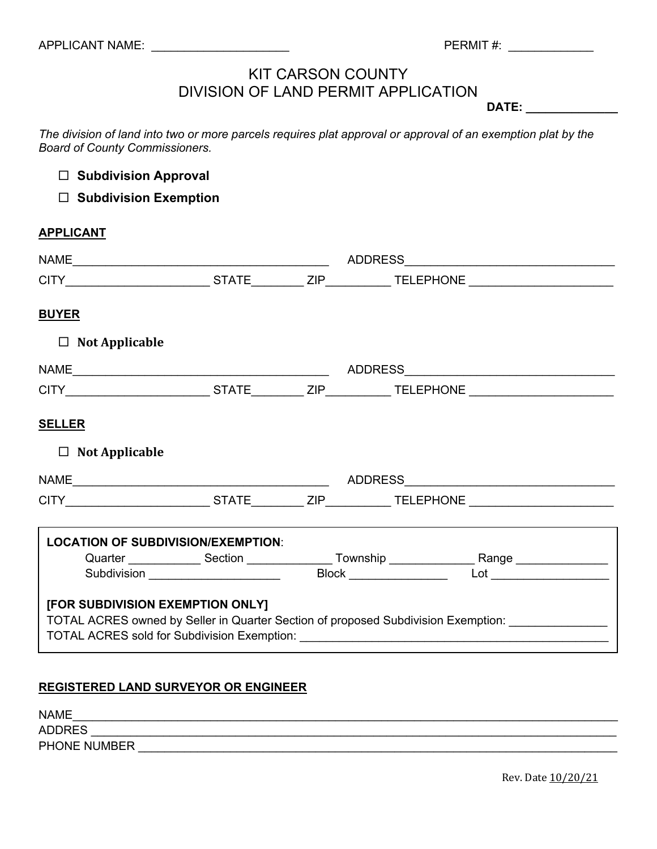# KIT CARSON COUNTY DIVISION OF LAND PERMIT APPLICATION

**DATE: \_\_\_\_\_\_\_\_\_\_\_\_\_\_**

*The division of land into two or more parcels requires plat approval or approval of an exemption plat by the Board of County Commissioners.* 

□ Subdivision Approval

□ Subdivision Exemption

### **APPLICANT**

| [FOR SUBDIVISION EXEMPTION ONLY] |                                           |                                                                                                                                                                                                                                                                                                                                                                                                               |
|----------------------------------|-------------------------------------------|---------------------------------------------------------------------------------------------------------------------------------------------------------------------------------------------------------------------------------------------------------------------------------------------------------------------------------------------------------------------------------------------------------------|
|                                  | <b>LOCATION OF SUBDIVISION/EXEMPTION:</b> | Quarter <b>Constant Construent Construent Construent Construent Construent Construent Construent Construent Constant Construent Construction Construction Construction Construction Construction Construction Construction Const</b><br>Subdivision ______________________  Block ______________  Lot __________________<br>TOTAL ACRES owned by Seller in Quarter Section of proposed Subdivision Exemption: |

### **REGISTERED LAND SURVEYOR OR ENGINEER**

| <b>NAME</b>   |  |  |
|---------------|--|--|
| <b>ADDRES</b> |  |  |
| PHONE NUMBER  |  |  |

Rev. Date  $10/20/21$